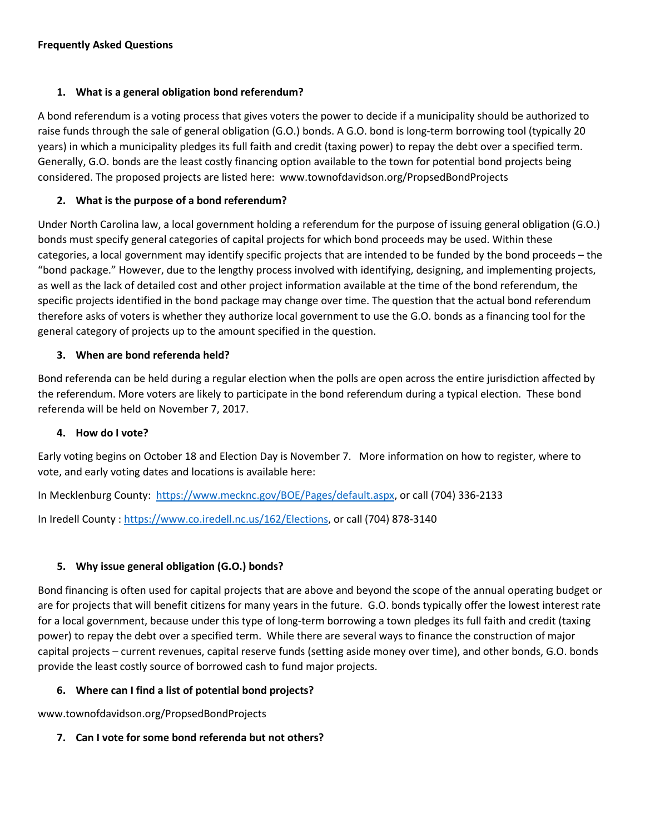#### **Frequently Asked Questions**

### **1. What is a general obligation bond referendum?**

A bond referendum is a voting process that gives voters the power to decide if a municipality should be authorized to raise funds through the sale of general obligation (G.O.) bonds. A G.O. bond is long-term borrowing tool (typically 20 years) in which a municipality pledges its full faith and credit (taxing power) to repay the debt over a specified term. Generally, G.O. bonds are the least costly financing option available to the town for potential bond projects being considered. The proposed projects are listed here: www.townofdavidson.org/PropsedBondProjects

# **2. What is the purpose of a bond referendum?**

Under North Carolina law, a local government holding a referendum for the purpose of issuing general obligation (G.O.) bonds must specify general categories of capital projects for which bond proceeds may be used. Within these categories, a local government may identify specific projects that are intended to be funded by the bond proceeds – the "bond package." However, due to the lengthy process involved with identifying, designing, and implementing projects, as well as the lack of detailed cost and other project information available at the time of the bond referendum, the specific projects identified in the bond package may change over time. The question that the actual bond referendum therefore asks of voters is whether they authorize local government to use the G.O. bonds as a financing tool for the general category of projects up to the amount specified in the question.

### **3. When are bond referenda held?**

Bond referenda can be held during a regular election when the polls are open across the entire jurisdiction affected by the referendum. More voters are likely to participate in the bond referendum during a typical election. These bond referenda will be held on November 7, 2017.

### **4. How do I vote?**

Early voting begins on October 18 and Election Day is November 7. More information on how to register, where to vote, and early voting dates and locations is available here:

In Mecklenburg County: [https://www.mecknc.gov/BOE/Pages/default.aspx,](https://www.mecknc.gov/BOE/Pages/default.aspx) or call (704) 336-2133

In Iredell County : [https://www.co.iredell.nc.us/162/Elections,](https://www.co.iredell.nc.us/162/Elections) or call (704) 878-3140

# **5. Why issue general obligation (G.O.) bonds?**

Bond financing is often used for capital projects that are above and beyond the scope of the annual operating budget or are for projects that will benefit citizens for many years in the future. G.O. bonds typically offer the lowest interest rate for a local government, because under this type of long-term borrowing a town pledges its full faith and credit (taxing power) to repay the debt over a specified term. While there are several ways to finance the construction of major capital projects – current revenues, capital reserve funds (setting aside money over time), and other bonds, G.O. bonds provide the least costly source of borrowed cash to fund major projects.

# **6. Where can I find a list of potential bond projects?**

www.townofdavidson.org/PropsedBondProjects

**7. Can I vote for some bond referenda but not others?**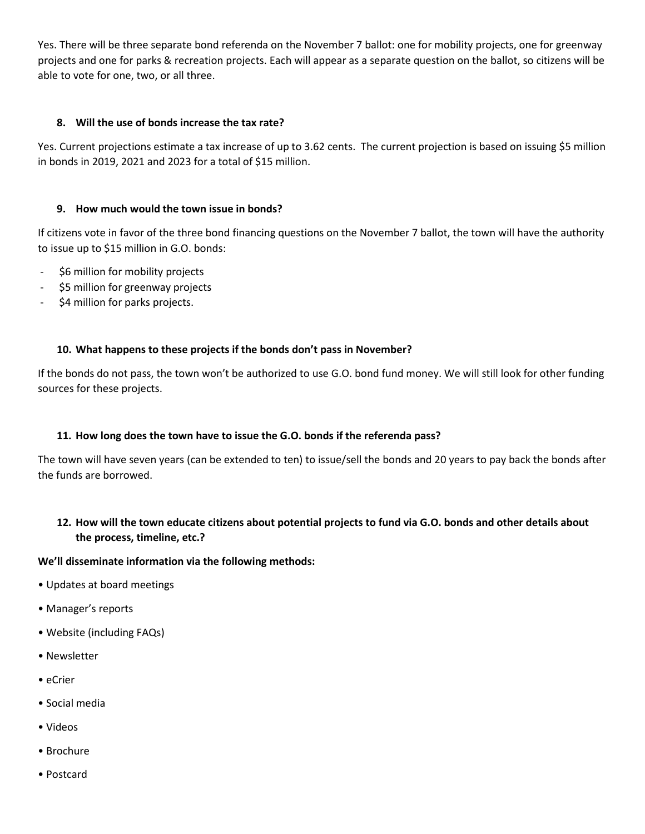Yes. There will be three separate bond referenda on the November 7 ballot: one for mobility projects, one for greenway projects and one for parks & recreation projects. Each will appear as a separate question on the ballot, so citizens will be able to vote for one, two, or all three.

#### **8. Will the use of bonds increase the tax rate?**

Yes. Current projections estimate a tax increase of up to 3.62 cents. The current projection is based on issuing \$5 million in bonds in 2019, 2021 and 2023 for a total of \$15 million.

#### **9. How much would the town issue in bonds?**

If citizens vote in favor of the three bond financing questions on the November 7 ballot, the town will have the authority to issue up to \$15 million in G.O. bonds:

- \$6 million for mobility projects
- \$5 million for greenway projects
- \$4 million for parks projects.

### **10. What happens to these projects if the bonds don't pass in November?**

If the bonds do not pass, the town won't be authorized to use G.O. bond fund money. We will still look for other funding sources for these projects.

#### **11. How long does the town have to issue the G.O. bonds if the referenda pass?**

The town will have seven years (can be extended to ten) to issue/sell the bonds and 20 years to pay back the bonds after the funds are borrowed.

### **12. How will the town educate citizens about potential projects to fund via G.O. bonds and other details about the process, timeline, etc.?**

#### **We'll disseminate information via the following methods:**

- Updates at board meetings
- Manager's reports
- Website (including FAQs)
- Newsletter
- eCrier
- Social media
- Videos
- Brochure
- Postcard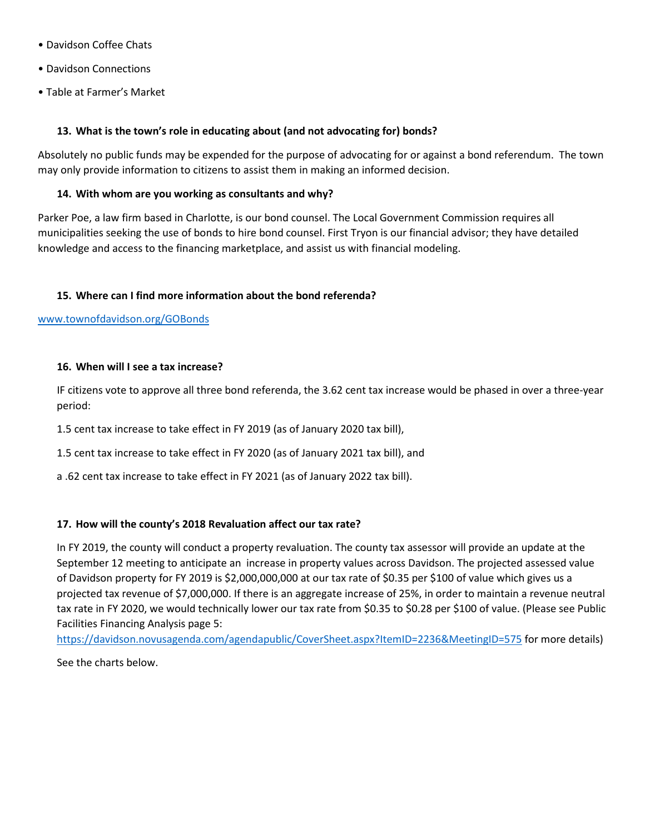- Davidson Coffee Chats
- Davidson Connections
- Table at Farmer's Market

#### **13. What is the town's role in educating about (and not advocating for) bonds?**

Absolutely no public funds may be expended for the purpose of advocating for or against a bond referendum. The town may only provide information to citizens to assist them in making an informed decision.

#### **14. With whom are you working as consultants and why?**

Parker Poe, a law firm based in Charlotte, is our bond counsel. The Local Government Commission requires all municipalities seeking the use of bonds to hire bond counsel. First Tryon is our financial advisor; they have detailed knowledge and access to the financing marketplace, and assist us with financial modeling.

#### **15. Where can I find more information about the bond referenda?**

[www.townofdavidson.org/GOBonds](http://www.townofdavidson.org/GOBonds)

#### **16. When will I see a tax increase?**

IF citizens vote to approve all three bond referenda, the 3.62 cent tax increase would be phased in over a three-year period:

1.5 cent tax increase to take effect in FY 2019 (as of January 2020 tax bill),

1.5 cent tax increase to take effect in FY 2020 (as of January 2021 tax bill), and

a .62 cent tax increase to take effect in FY 2021 (as of January 2022 tax bill).

#### **17. How will the county's 2018 Revaluation affect our tax rate?**

In FY 2019, the county will conduct a property revaluation. The county tax assessor will provide an update at the September 12 meeting to anticipate an increase in property values across Davidson. The projected assessed value of Davidson property for FY 2019 is \$2,000,000,000 at our tax rate of \$0.35 per \$100 of value which gives us a projected tax revenue of \$7,000,000. If there is an aggregate increase of 25%, in order to maintain a revenue neutral tax rate in FY 2020, we would technically lower our tax rate from \$0.35 to \$0.28 per \$100 of value. (Please see Public Facilities Financing Analysis page 5:

<https://davidson.novusagenda.com/agendapublic/CoverSheet.aspx?ItemID=2236&MeetingID=575> for more details)

See the charts below.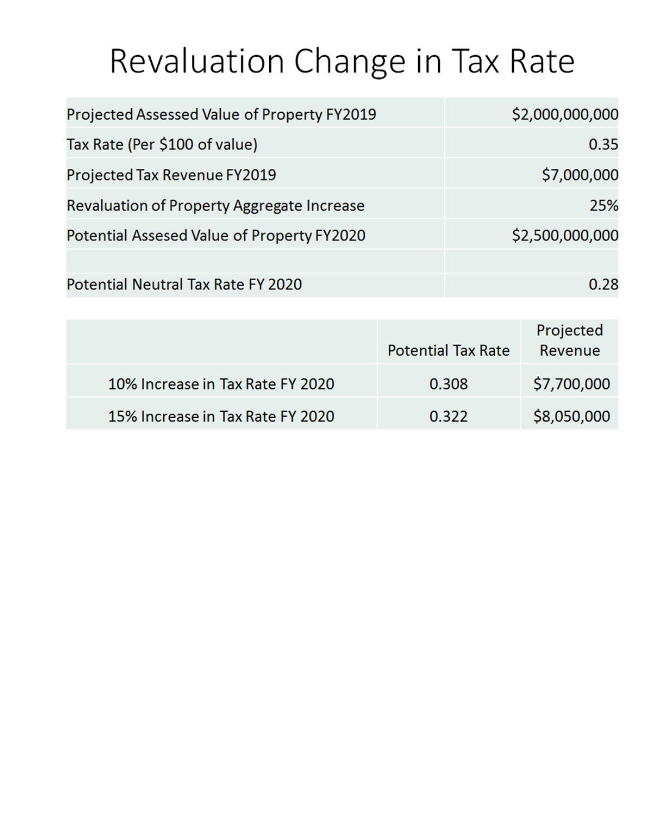# Revaluation Change in Tax Rate

| Projected Assessed Value of Property FY2019 | \$2,000,000,000 |
|---------------------------------------------|-----------------|
| Tax Rate (Per \$100 of value)               | 0.35            |
| Projected Tax Revenue FY2019                | \$7,000,000     |
| Revaluation of Property Aggregate Increase  | 25%             |
| Potential Assesed Value of Property FY2020  | \$2,500,000,000 |
|                                             |                 |
| Potential Neutral Tax Rate FY 2020          | 0.28            |

|                                  | <b>Potential Tax Rate</b> | Projected<br>Revenue |
|----------------------------------|---------------------------|----------------------|
| 10% Increase in Tax Rate FY 2020 | 0.308                     | \$7,700,000          |
| 15% Increase in Tax Rate FY 2020 | 0.322                     | \$8,050,000          |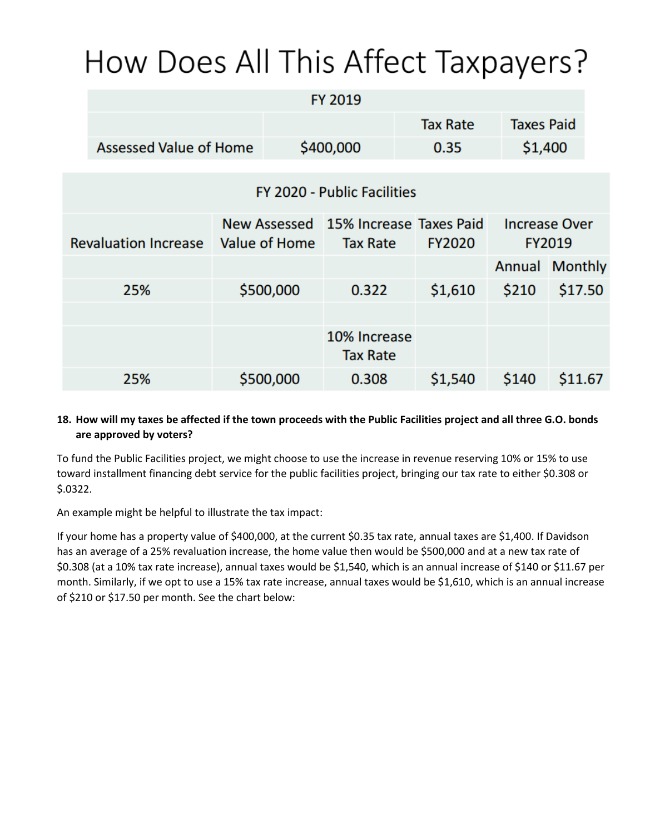# How Does All This Affect Taxpayers?

|                             |                               |               |           | FY 2019                              |  |                 |                      |               |
|-----------------------------|-------------------------------|---------------|-----------|--------------------------------------|--|-----------------|----------------------|---------------|
|                             | <b>Assessed Value of Home</b> |               |           |                                      |  | <b>Tax Rate</b> | <b>Taxes Paid</b>    |               |
|                             |                               |               | \$400,000 |                                      |  | 0.35            | \$1,400              |               |
| FY 2020 - Public Facilities |                               |               |           |                                      |  |                 |                      |               |
|                             |                               |               |           |                                      |  |                 |                      |               |
|                             |                               |               |           | New Assessed 15% Increase Taxes Paid |  |                 | <b>Increase Over</b> |               |
|                             | <b>Revaluation Increase</b>   | Value of Home |           | <b>Tax Rate</b>                      |  | <b>FY2020</b>   |                      | <b>FY2019</b> |
|                             |                               |               |           |                                      |  |                 | Annual Monthly       |               |
|                             | 25%                           |               | \$500,000 | 0.322                                |  | \$1,610         | \$210                | \$17.50       |
|                             |                               |               |           |                                      |  |                 |                      |               |
|                             |                               |               |           | 10% Increase<br><b>Tax Rate</b>      |  |                 |                      |               |
|                             | 25%                           |               | \$500,000 | 0.308                                |  | \$1,540         | \$140                | \$11.67       |

# **18. How will my taxes be affected if the town proceeds with the Public Facilities project and all three G.O. bonds are approved by voters?**

To fund the Public Facilities project, we might choose to use the increase in revenue reserving 10% or 15% to use toward installment financing debt service for the public facilities project, bringing our tax rate to either \$0.308 or \$.0322.

An example might be helpful to illustrate the tax impact:

If your home has a property value of \$400,000, at the current \$0.35 tax rate, annual taxes are \$1,400. If Davidson has an average of a 25% revaluation increase, the home value then would be \$500,000 and at a new tax rate of \$0.308 (at a 10% tax rate increase), annual taxes would be \$1,540, which is an annual increase of \$140 or \$11.67 per month. Similarly, if we opt to use a 15% tax rate increase, annual taxes would be \$1,610, which is an annual increase of \$210 or \$17.50 per month. See the chart below: